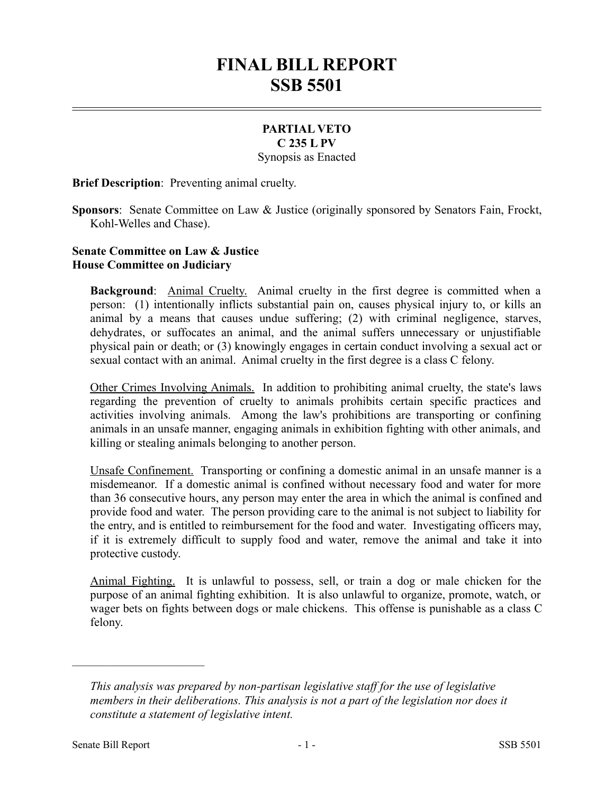## **FINAL BILL REPORT SSB 5501**

## **PARTIAL VETO C 235 L PV**

Synopsis as Enacted

**Brief Description**: Preventing animal cruelty.

**Sponsors**: Senate Committee on Law & Justice (originally sponsored by Senators Fain, Frockt, Kohl-Welles and Chase).

## **Senate Committee on Law & Justice House Committee on Judiciary**

**Background:** Animal Cruelty. Animal cruelty in the first degree is committed when a person: (1) intentionally inflicts substantial pain on, causes physical injury to, or kills an animal by a means that causes undue suffering; (2) with criminal negligence, starves, dehydrates, or suffocates an animal, and the animal suffers unnecessary or unjustifiable physical pain or death; or (3) knowingly engages in certain conduct involving a sexual act or sexual contact with an animal. Animal cruelty in the first degree is a class C felony.

Other Crimes Involving Animals. In addition to prohibiting animal cruelty, the state's laws regarding the prevention of cruelty to animals prohibits certain specific practices and activities involving animals. Among the law's prohibitions are transporting or confining animals in an unsafe manner, engaging animals in exhibition fighting with other animals, and killing or stealing animals belonging to another person.

Unsafe Confinement. Transporting or confining a domestic animal in an unsafe manner is a misdemeanor. If a domestic animal is confined without necessary food and water for more than 36 consecutive hours, any person may enter the area in which the animal is confined and provide food and water. The person providing care to the animal is not subject to liability for the entry, and is entitled to reimbursement for the food and water. Investigating officers may, if it is extremely difficult to supply food and water, remove the animal and take it into protective custody.

Animal Fighting. It is unlawful to possess, sell, or train a dog or male chicken for the purpose of an animal fighting exhibition. It is also unlawful to organize, promote, watch, or wager bets on fights between dogs or male chickens. This offense is punishable as a class C felony.

––––––––––––––––––––––

*This analysis was prepared by non-partisan legislative staff for the use of legislative members in their deliberations. This analysis is not a part of the legislation nor does it constitute a statement of legislative intent.*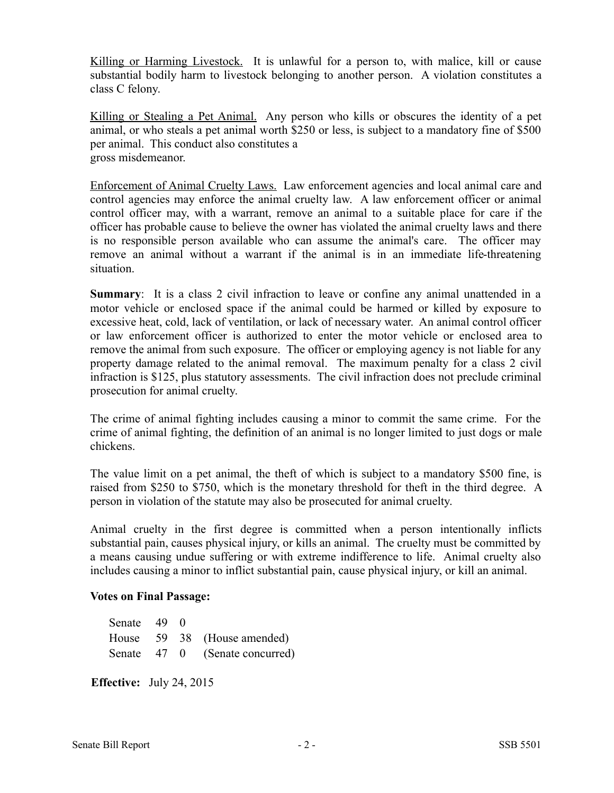Killing or Harming Livestock. It is unlawful for a person to, with malice, kill or cause substantial bodily harm to livestock belonging to another person. A violation constitutes a class C felony.

Killing or Stealing a Pet Animal. Any person who kills or obscures the identity of a pet animal, or who steals a pet animal worth \$250 or less, is subject to a mandatory fine of \$500 per animal. This conduct also constitutes a gross misdemeanor.

Enforcement of Animal Cruelty Laws. Law enforcement agencies and local animal care and control agencies may enforce the animal cruelty law. A law enforcement officer or animal control officer may, with a warrant, remove an animal to a suitable place for care if the officer has probable cause to believe the owner has violated the animal cruelty laws and there is no responsible person available who can assume the animal's care. The officer may remove an animal without a warrant if the animal is in an immediate life-threatening situation.

**Summary**: It is a class 2 civil infraction to leave or confine any animal unattended in a motor vehicle or enclosed space if the animal could be harmed or killed by exposure to excessive heat, cold, lack of ventilation, or lack of necessary water. An animal control officer or law enforcement officer is authorized to enter the motor vehicle or enclosed area to remove the animal from such exposure. The officer or employing agency is not liable for any property damage related to the animal removal. The maximum penalty for a class 2 civil infraction is \$125, plus statutory assessments. The civil infraction does not preclude criminal prosecution for animal cruelty.

The crime of animal fighting includes causing a minor to commit the same crime. For the crime of animal fighting, the definition of an animal is no longer limited to just dogs or male chickens.

The value limit on a pet animal, the theft of which is subject to a mandatory \$500 fine, is raised from \$250 to \$750, which is the monetary threshold for theft in the third degree. A person in violation of the statute may also be prosecuted for animal cruelty.

Animal cruelty in the first degree is committed when a person intentionally inflicts substantial pain, causes physical injury, or kills an animal. The cruelty must be committed by a means causing undue suffering or with extreme indifference to life. Animal cruelty also includes causing a minor to inflict substantial pain, cause physical injury, or kill an animal.

## **Votes on Final Passage:**

| Senate 49 0 |  |                                |
|-------------|--|--------------------------------|
|             |  | House 59 38 (House amended)    |
|             |  | Senate 47 0 (Senate concurred) |

**Effective:** July 24, 2015